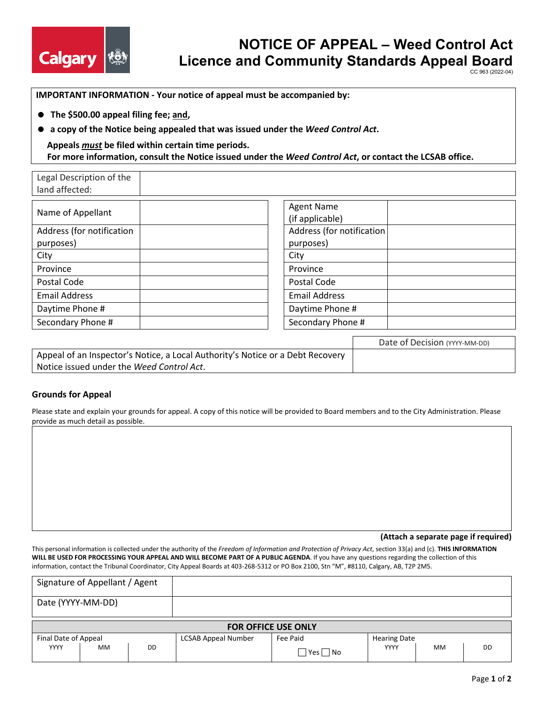

Legal Description of the

# **NOTICE OF APPEAL – Weed Control Act Licence and Community Standards Appeal Board**

CC 963 (2022-04)

**IMPORTANT INFORMATION - Your notice of appeal must be accompanied by:**

- **The \$500.00 appeal filing fee; and,**
- **a copy of the Notice being appealed that was issued under the** *Weed Control Act***.**

## **Appeals** *must* **be filed within certain time periods. For more information, consult the Notice issued under the** *Weed Control Act***, or contact the LCSAB office.**

| land affected:                         |                                      |
|----------------------------------------|--------------------------------------|
| Name of Appellant                      | <b>Agent Name</b><br>(if applicable) |
| Address (for notification<br>purposes) | Address (for notific<br>purposes)    |
| City                                   | City                                 |
| Province                               | Province                             |
| Postal Code                            | Postal Code                          |
| <b>Email Address</b>                   | <b>Email Address</b>                 |
| Daytime Phone #                        | Daytime Phone #                      |
| Secondary Phone #                      | Secondary Phone #                    |

| <b>Agent Name</b>         |  |
|---------------------------|--|
| (if applicable)           |  |
| Address (for notification |  |
| purposes)                 |  |
| City                      |  |
| Province                  |  |
| Postal Code               |  |
| <b>Email Address</b>      |  |
| Daytime Phone #           |  |
| Secondary Phone #         |  |
|                           |  |

|                                                                                | Date of Decision (YYYY-MM-DD) |
|--------------------------------------------------------------------------------|-------------------------------|
| Appeal of an Inspector's Notice, a Local Authority's Notice or a Debt Recovery |                               |
| Notice issued under the Weed Control Act.                                      |                               |

## **Grounds for Appeal**

Please state and explain your grounds for appeal. A copy of this notice will be provided to Board members and to the City Administration. Please provide as much detail as possible.

**(Attach a separate page if required)** 

This personal information is collected under the authority of the *Freedom of Information and Protection of Privacy Act*, section 33(a) and (c). **THIS INFORMATION WILL BE USED FOR PROCESSING YOUR APPEAL AND WILL BECOME PART OF A PUBLIC AGENDA**. If you have any questions regarding the collection of this information, contact the Tribunal Coordinator, City Appeal Boards at 403-268-5312 or PO Box 2100, Stn "M", #8110, Calgary, AB, T2P 2M5.

|                            | Signature of Appellant / Agent |    |                            |              |                     |           |    |
|----------------------------|--------------------------------|----|----------------------------|--------------|---------------------|-----------|----|
| Date (YYYY-MM-DD)          |                                |    |                            |              |                     |           |    |
| <b>FOR OFFICE USE ONLY</b> |                                |    |                            |              |                     |           |    |
| Final Date of Appeal       |                                |    | <b>LCSAB Appeal Number</b> | Fee Paid     | <b>Hearing Date</b> |           |    |
| <b>YYYY</b>                | <b>MM</b>                      | DD |                            | Yes <br>l No | YYYY                | <b>MM</b> | DD |